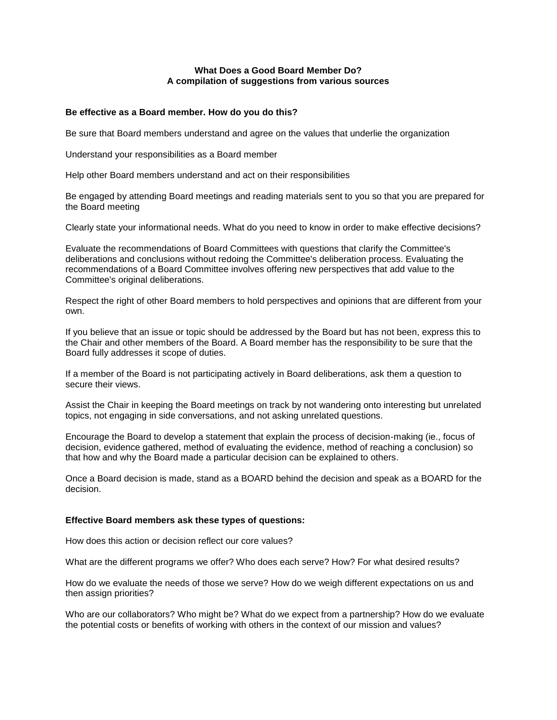# **What Does a Good Board Member Do? A compilation of suggestions from various sources**

# **Be effective as a Board member. How do you do this?**

Be sure that Board members understand and agree on the values that underlie the organization

Understand your responsibilities as a Board member

Help other Board members understand and act on their responsibilities

Be engaged by attending Board meetings and reading materials sent to you so that you are prepared for the Board meeting

Clearly state your informational needs. What do you need to know in order to make effective decisions?

Evaluate the recommendations of Board Committees with questions that clarify the Committee's deliberations and conclusions without redoing the Committee's deliberation process. Evaluating the recommendations of a Board Committee involves offering new perspectives that add value to the Committee's original deliberations.

Respect the right of other Board members to hold perspectives and opinions that are different from your own.

If you believe that an issue or topic should be addressed by the Board but has not been, express this to the Chair and other members of the Board. A Board member has the responsibility to be sure that the Board fully addresses it scope of duties.

If a member of the Board is not participating actively in Board deliberations, ask them a question to secure their views.

Assist the Chair in keeping the Board meetings on track by not wandering onto interesting but unrelated topics, not engaging in side conversations, and not asking unrelated questions.

Encourage the Board to develop a statement that explain the process of decision-making (ie., focus of decision, evidence gathered, method of evaluating the evidence, method of reaching a conclusion) so that how and why the Board made a particular decision can be explained to others.

Once a Board decision is made, stand as a BOARD behind the decision and speak as a BOARD for the decision.

### **Effective Board members ask these types of questions:**

How does this action or decision reflect our core values?

What are the different programs we offer? Who does each serve? How? For what desired results?

How do we evaluate the needs of those we serve? How do we weigh different expectations on us and then assign priorities?

Who are our collaborators? Who might be? What do we expect from a partnership? How do we evaluate the potential costs or benefits of working with others in the context of our mission and values?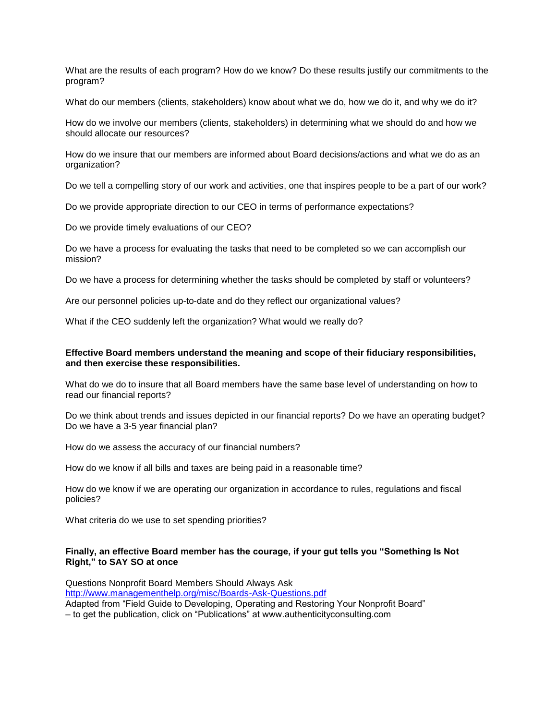What are the results of each program? How do we know? Do these results justify our commitments to the program?

What do our members (clients, stakeholders) know about what we do, how we do it, and why we do it?

How do we involve our members (clients, stakeholders) in determining what we should do and how we should allocate our resources?

How do we insure that our members are informed about Board decisions/actions and what we do as an organization?

Do we tell a compelling story of our work and activities, one that inspires people to be a part of our work?

Do we provide appropriate direction to our CEO in terms of performance expectations?

Do we provide timely evaluations of our CEO?

Do we have a process for evaluating the tasks that need to be completed so we can accomplish our mission?

Do we have a process for determining whether the tasks should be completed by staff or volunteers?

Are our personnel policies up-to-date and do they reflect our organizational values?

What if the CEO suddenly left the organization? What would we really do?

## **Effective Board members understand the meaning and scope of their fiduciary responsibilities, and then exercise these responsibilities.**

What do we do to insure that all Board members have the same base level of understanding on how to read our financial reports?

Do we think about trends and issues depicted in our financial reports? Do we have an operating budget? Do we have a 3-5 year financial plan?

How do we assess the accuracy of our financial numbers?

How do we know if all bills and taxes are being paid in a reasonable time?

How do we know if we are operating our organization in accordance to rules, regulations and fiscal policies?

What criteria do we use to set spending priorities?

### **Finally, an effective Board member has the courage, if your gut tells you "Something Is Not Right," to SAY SO at once**

Questions Nonprofit Board Members Should Always Ask <http://www.managementhelp.org/misc/Boards-Ask-Questions.pdf> Adapted from "Field Guide to Developing, Operating and Restoring Your Nonprofit Board" – to get the publication, click on "Publications" at www.authenticityconsulting.com